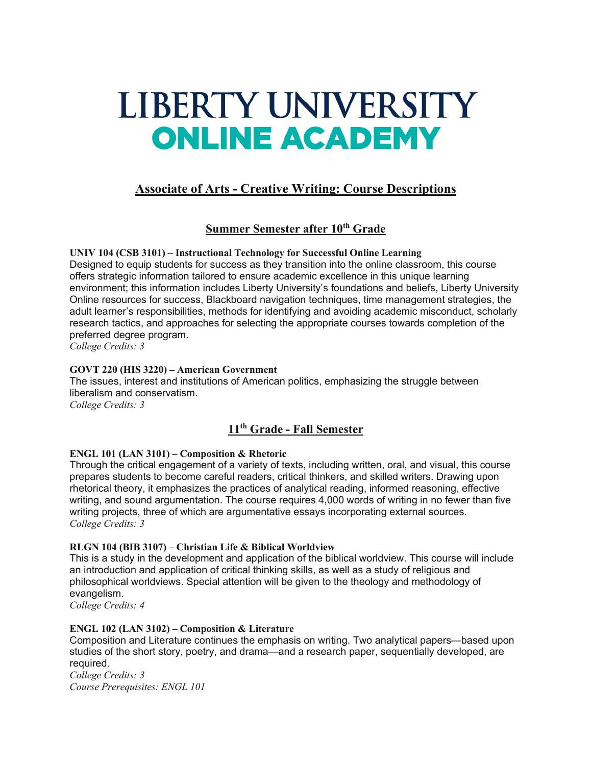# LIBERTY UNIVERSITY **ONLINE ACADEMY**

# **Associate of Arts - Creative Writing: Course Descriptions**

# **Summer Semester after 10th Grade**

**UNIV 104 (CSB 3101) – Instructional Technology for Successful Online Learning** Designed to equip students for success as they transition into the online classroom, this course offers strategic information tailored to ensure academic excellence in this unique learning environment; this information includes Liberty University's foundations and beliefs, Liberty University Online resources for success, Blackboard navigation techniques, time management strategies, the adult learner's responsibilities, methods for identifying and avoiding academic misconduct, scholarly research tactics, and approaches for selecting the appropriate courses towards completion of the preferred degree program.

*College Credits: 3*

# **GOVT 220 (HIS 3220) – American Government**

The issues, interest and institutions of American politics, emphasizing the struggle between liberalism and conservatism. *College Credits: 3*

# **11th Grade - Fall Semester**

# **ENGL 101 (LAN 3101) – Composition & Rhetoric**

Through the critical engagement of a variety of texts, including written, oral, and visual, this course prepares students to become careful readers, critical thinkers, and skilled writers. Drawing upon rhetorical theory, it emphasizes the practices of analytical reading, informed reasoning, effective writing, and sound argumentation. The course requires 4,000 words of writing in no fewer than five writing projects, three of which are argumentative essays incorporating external sources. *College Credits: 3*

# **RLGN 104 (BIB 3107) – Christian Life & Biblical Worldview**

This is a study in the development and application of the biblical worldview. This course will include an introduction and application of critical thinking skills, as well as a study of religious and philosophical worldviews. Special attention will be given to the theology and methodology of evangelism.

*College Credits: 4*

# **ENGL 102 (LAN 3102) – Composition & Literature**

Composition and Literature continues the emphasis on writing. Two analytical papers—based upon studies of the short story, poetry, and drama—and a research paper, sequentially developed, are required.

*College Credits: 3 Course Prerequisites: ENGL 101*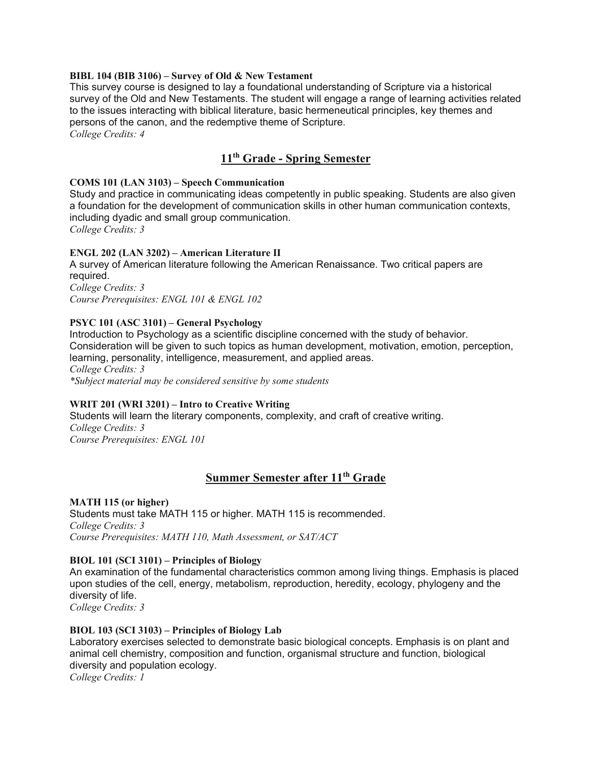#### **BIBL 104 (BIB 3106) – Survey of Old & New Testament**

This survey course is designed to lay a foundational understanding of Scripture via a historical survey of the Old and New Testaments. The student will engage a range of learning activities related to the issues interacting with biblical literature, basic hermeneutical principles, key themes and persons of the canon, and the redemptive theme of Scripture.

*College Credits: 4*

# **11th Grade - Spring Semester**

#### **COMS 101 (LAN 3103) – Speech Communication**

Study and practice in communicating ideas competently in public speaking. Students are also given a foundation for the development of communication skills in other human communication contexts, including dyadic and small group communication.

*College Credits: 3*

#### **ENGL 202 (LAN 3202) – American Literature II**

A survey of American literature following the American Renaissance. Two critical papers are required.

*College Credits: 3 Course Prerequisites: ENGL 101 & ENGL 102*

#### **PSYC 101 (ASC 3101) – General Psychology**

Introduction to Psychology as a scientific discipline concerned with the study of behavior. Consideration will be given to such topics as human development, motivation, emotion, perception, learning, personality, intelligence, measurement, and applied areas. *College Credits: 3 \*Subject material may be considered sensitive by some students*

# **WRIT 201 (WRI 3201) – Intro to Creative Writing**

Students will learn the literary components, complexity, and craft of creative writing. *College Credits: 3 Course Prerequisites: ENGL 101*

# **Summer Semester after 11th Grade**

#### **MATH 115 (or higher)**

Students must take MATH 115 or higher. MATH 115 is recommended. *College Credits: 3 Course Prerequisites: MATH 110, Math Assessment, or SAT/ACT*

## **BIOL 101 (SCI 3101) – Principles of Biology**

An examination of the fundamental characteristics common among living things. Emphasis is placed upon studies of the cell, energy, metabolism, reproduction, heredity, ecology, phylogeny and the diversity of life.

*College Credits: 3*

## **BIOL 103 (SCI 3103) – Principles of Biology Lab**

Laboratory exercises selected to demonstrate basic biological concepts. Emphasis is on plant and animal cell chemistry, composition and function, organismal structure and function, biological diversity and population ecology.

*College Credits: 1*